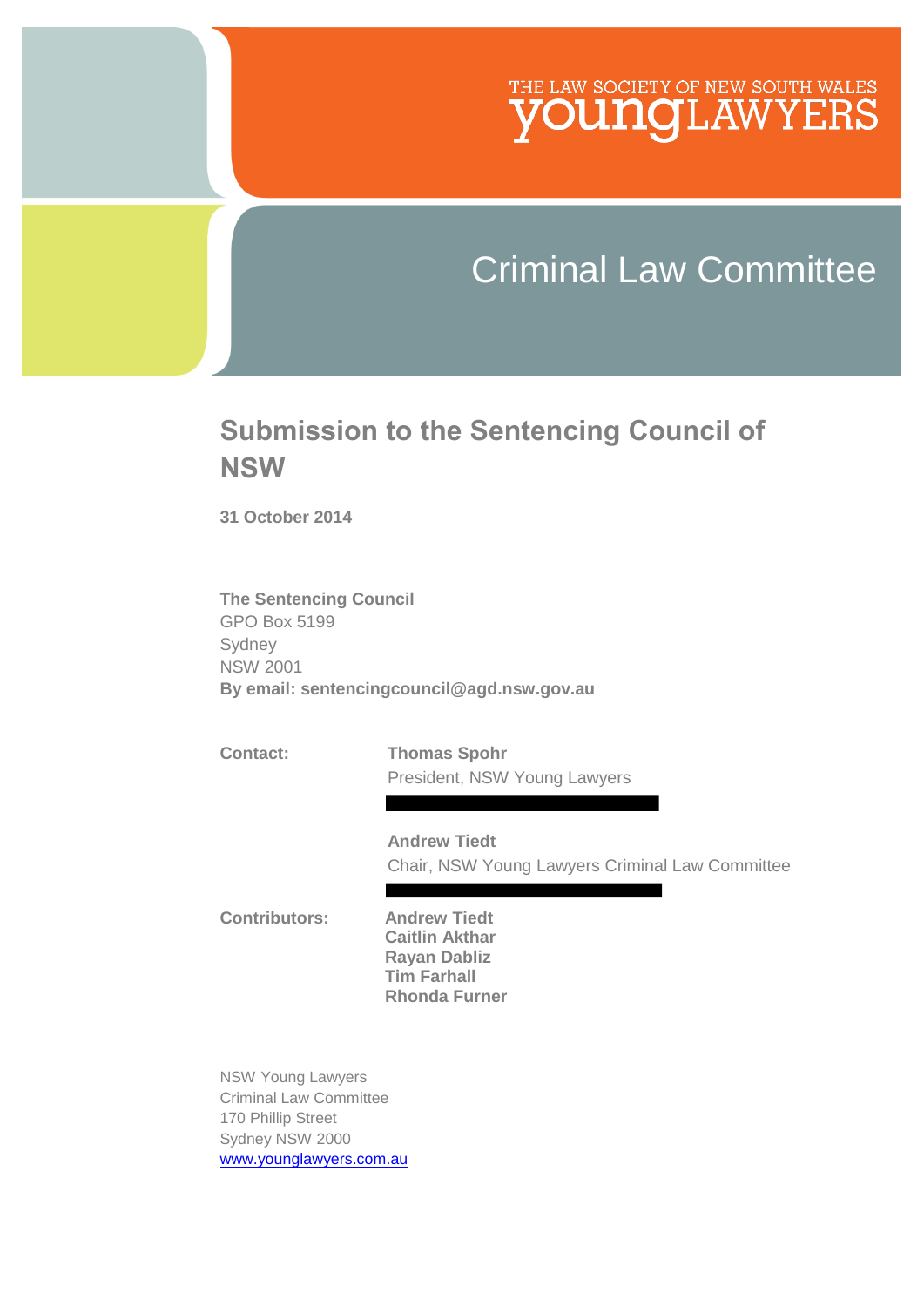## THE LAW SOCIETY OF NEW SOUTH WALES **JNQLAWYERS**

# Criminal Law Committee

## **Submission to the Sentencing Council of NSW**

**31 October 2014**

**The Sentencing Council**  GPO Box 5199 Sydney NSW 2001 **By email: sentencingcouncil@agd.nsw.gov.au** 

**Contact: Thomas Spohr**  President, NSW Young Lawyers

> **Andrew Tiedt**  Chair, NSW Young Lawyers Criminal Law Committee

**Contributors: Andrew Tiedt Caitlin Akthar Rayan Dabliz Tim Farhall Rhonda Furner**

NSW Young Lawyers Criminal Law Committee 170 Phillip Street Sydney NSW 2000 [www.younglawyers.com.au](http://www.younglawyers.com.au/)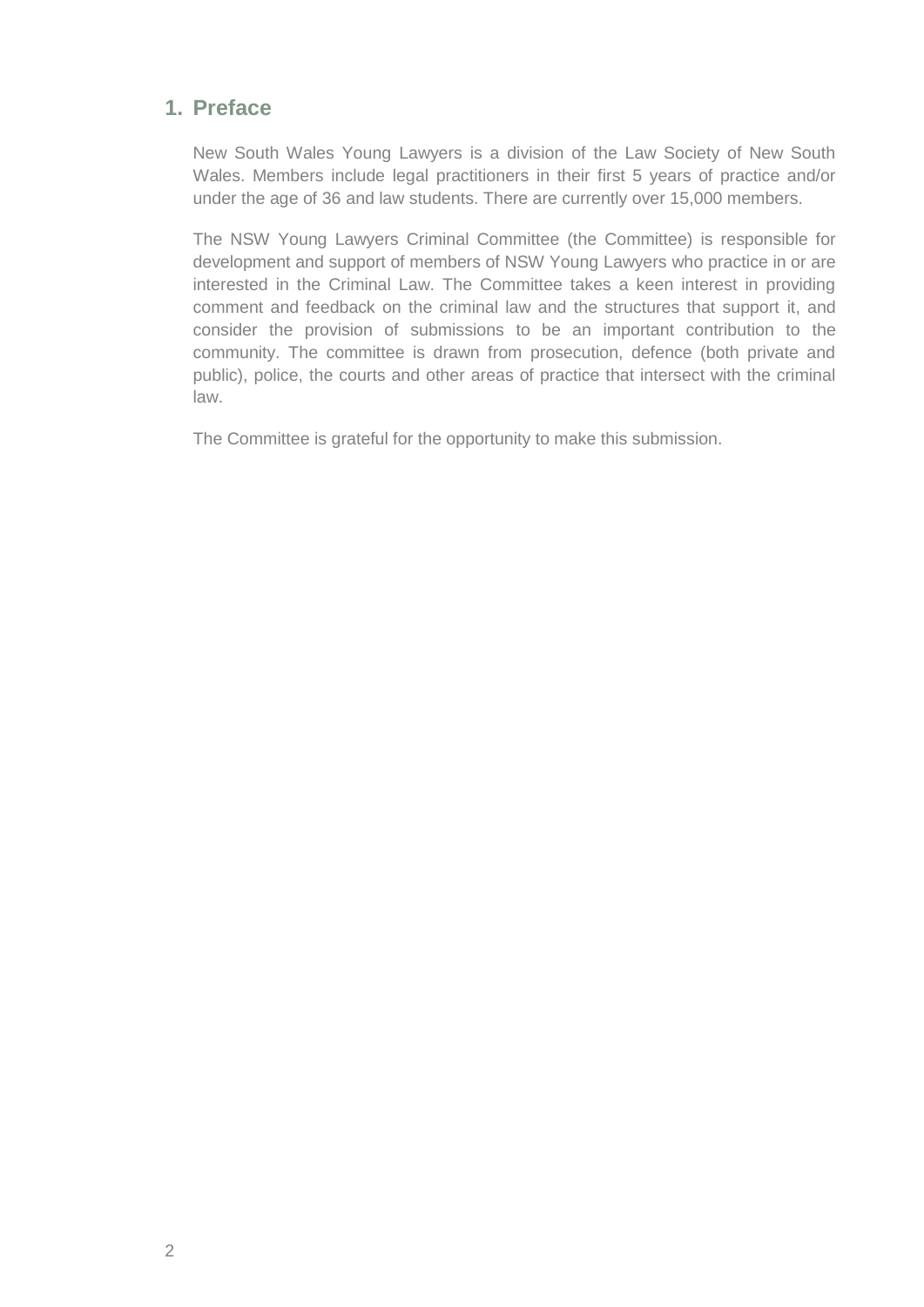#### **1. Preface**

New South Wales Young Lawyers is a division of the Law Society of New South Wales. Members include legal practitioners in their first 5 years of practice and/or under the age of 36 and law students. There are currently over 15,000 members.

The NSW Young Lawyers Criminal Committee (the Committee) is responsible for development and support of members of NSW Young Lawyers who practice in or are interested in the Criminal Law. The Committee takes a keen interest in providing comment and feedback on the criminal law and the structures that support it, and consider the provision of submissions to be an important contribution to the community. The committee is drawn from prosecution, defence (both private and public), police, the courts and other areas of practice that intersect with the criminal law.

The Committee is grateful for the opportunity to make this submission.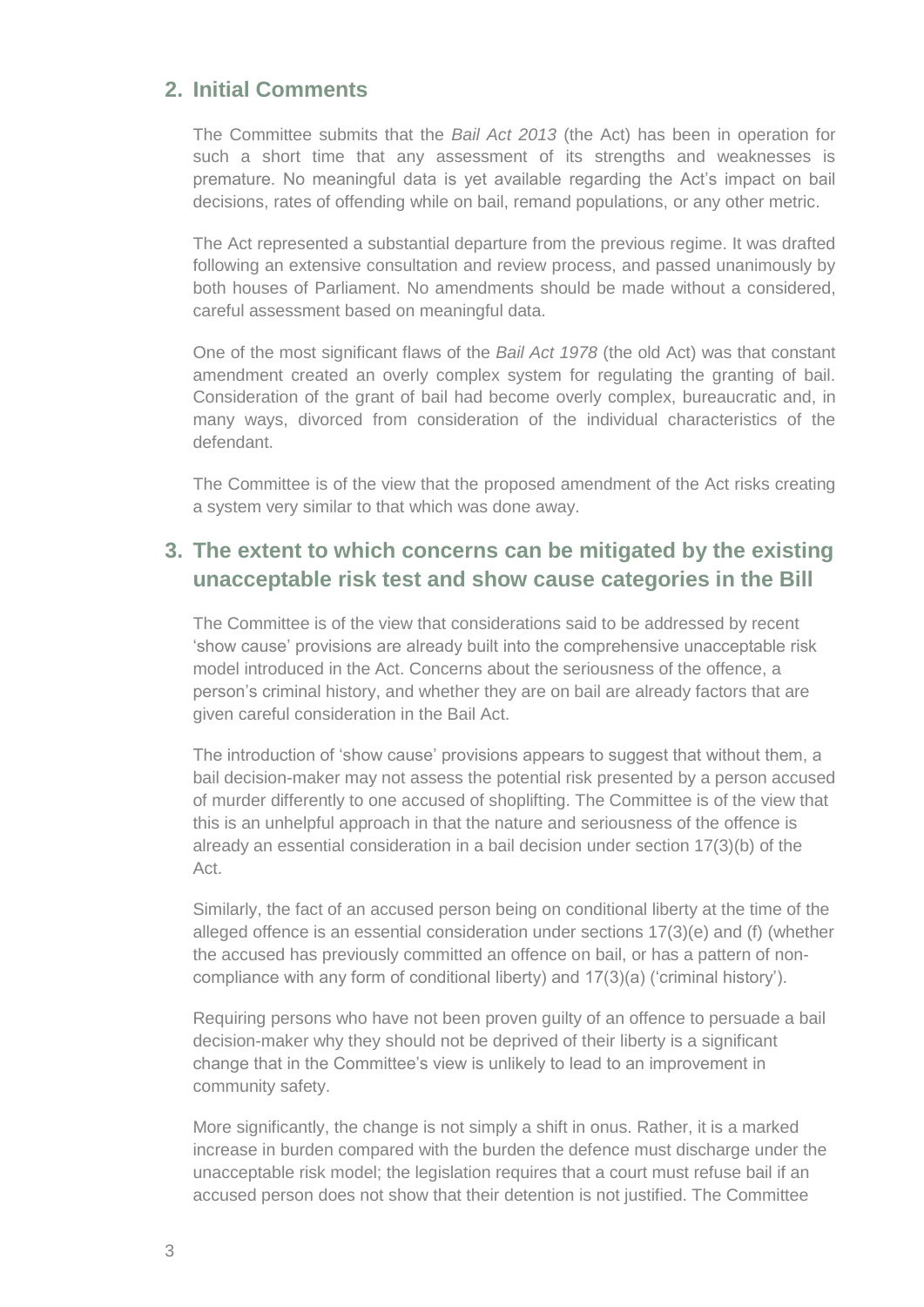#### **2. Initial Comments**

The Committee submits that the *Bail Act 2013* (the Act) has been in operation for such a short time that any assessment of its strengths and weaknesses is premature. No meaningful data is yet available regarding the Act's impact on bail decisions, rates of offending while on bail, remand populations, or any other metric.

The Act represented a substantial departure from the previous regime. It was drafted following an extensive consultation and review process, and passed unanimously by both houses of Parliament. No amendments should be made without a considered, careful assessment based on meaningful data.

One of the most significant flaws of the *Bail Act 1978* (the old Act) was that constant amendment created an overly complex system for regulating the granting of bail. Consideration of the grant of bail had become overly complex, bureaucratic and, in many ways, divorced from consideration of the individual characteristics of the defendant.

The Committee is of the view that the proposed amendment of the Act risks creating a system very similar to that which was done away.

### **3. The extent to which concerns can be mitigated by the existing unacceptable risk test and show cause categories in the Bill**

The Committee is of the view that considerations said to be addressed by recent 'show cause' provisions are already built into the comprehensive unacceptable risk model introduced in the Act. Concerns about the seriousness of the offence, a person's criminal history, and whether they are on bail are already factors that are given careful consideration in the Bail Act.

The introduction of 'show cause' provisions appears to suggest that without them, a bail decision-maker may not assess the potential risk presented by a person accused of murder differently to one accused of shoplifting. The Committee is of the view that this is an unhelpful approach in that the nature and seriousness of the offence is already an essential consideration in a bail decision under section 17(3)(b) of the Act.

Similarly, the fact of an accused person being on conditional liberty at the time of the alleged offence is an essential consideration under sections 17(3)(e) and (f) (whether the accused has previously committed an offence on bail, or has a pattern of noncompliance with any form of conditional liberty) and 17(3)(a) ('criminal history').

Requiring persons who have not been proven guilty of an offence to persuade a bail decision-maker why they should not be deprived of their liberty is a significant change that in the Committee's view is unlikely to lead to an improvement in community safety.

More significantly, the change is not simply a shift in onus. Rather, it is a marked increase in burden compared with the burden the defence must discharge under the unacceptable risk model; the legislation requires that a court must refuse bail if an accused person does not show that their detention is not justified. The Committee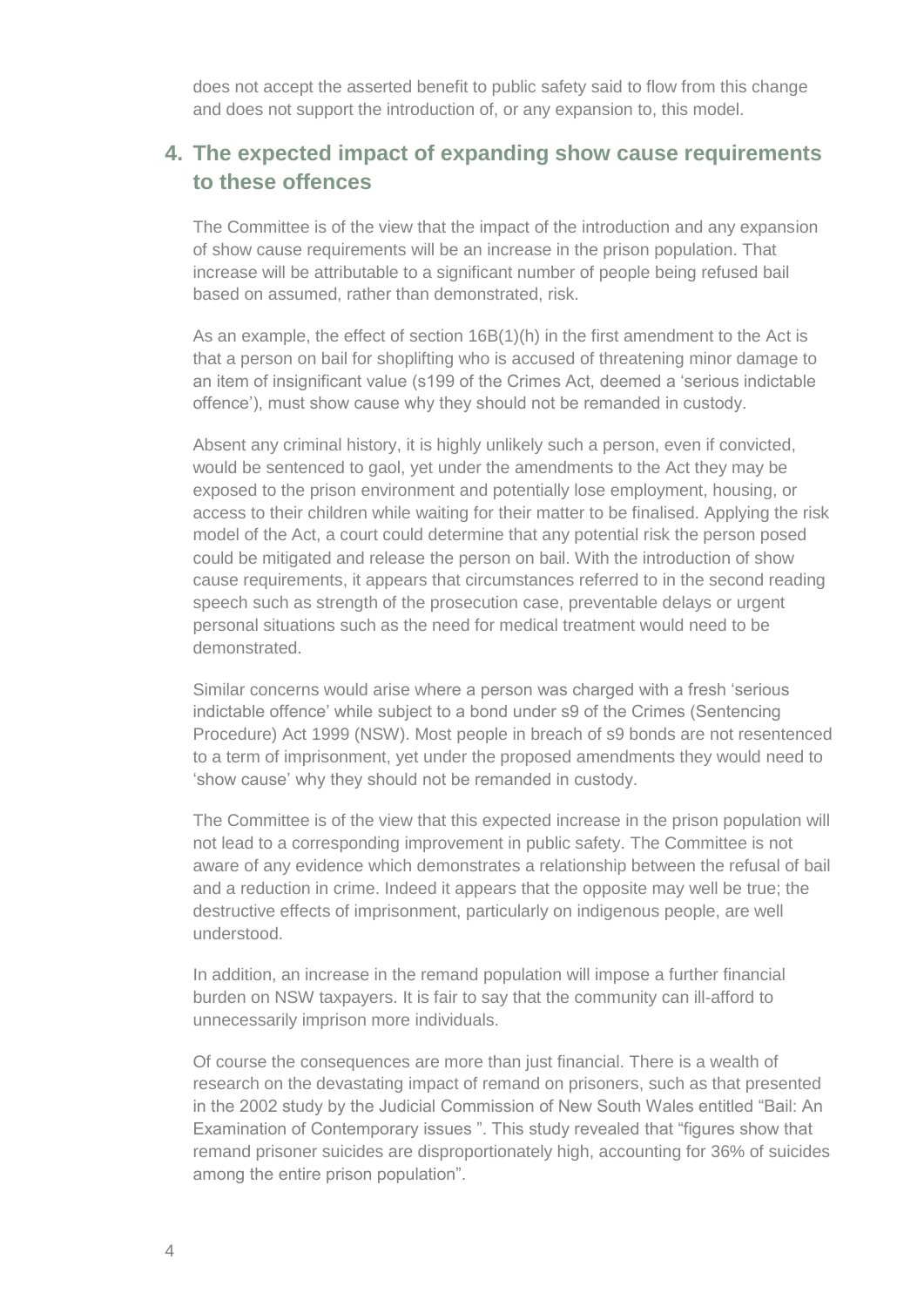does not accept the asserted benefit to public safety said to flow from this change and does not support the introduction of, or any expansion to, this model.

#### **4. The expected impact of expanding show cause requirements to these offences**

The Committee is of the view that the impact of the introduction and any expansion of show cause requirements will be an increase in the prison population. That increase will be attributable to a significant number of people being refused bail based on assumed, rather than demonstrated, risk.

As an example, the effect of section 16B(1)(h) in the first amendment to the Act is that a person on bail for shoplifting who is accused of threatening minor damage to an item of insignificant value (s199 of the Crimes Act, deemed a 'serious indictable offence'), must show cause why they should not be remanded in custody.

Absent any criminal history, it is highly unlikely such a person, even if convicted, would be sentenced to gaol, yet under the amendments to the Act they may be exposed to the prison environment and potentially lose employment, housing, or access to their children while waiting for their matter to be finalised. Applying the risk model of the Act, a court could determine that any potential risk the person posed could be mitigated and release the person on bail. With the introduction of show cause requirements, it appears that circumstances referred to in the second reading speech such as strength of the prosecution case, preventable delays or urgent personal situations such as the need for medical treatment would need to be demonstrated.

Similar concerns would arise where a person was charged with a fresh 'serious indictable offence' while subject to a bond under s9 of the Crimes (Sentencing Procedure) Act 1999 (NSW). Most people in breach of s9 bonds are not resentenced to a term of imprisonment, yet under the proposed amendments they would need to 'show cause' why they should not be remanded in custody.

The Committee is of the view that this expected increase in the prison population will not lead to a corresponding improvement in public safety. The Committee is not aware of any evidence which demonstrates a relationship between the refusal of bail and a reduction in crime. Indeed it appears that the opposite may well be true; the destructive effects of imprisonment, particularly on indigenous people, are well understood.

In addition, an increase in the remand population will impose a further financial burden on NSW taxpayers. It is fair to say that the community can ill-afford to unnecessarily imprison more individuals.

Of course the consequences are more than just financial. There is a wealth of research on the devastating impact of remand on prisoners, such as that presented in the 2002 study by the Judicial Commission of New South Wales entitled "Bail: An Examination of Contemporary issues ". This study revealed that "figures show that remand prisoner suicides are disproportionately high, accounting for 36% of suicides among the entire prison population".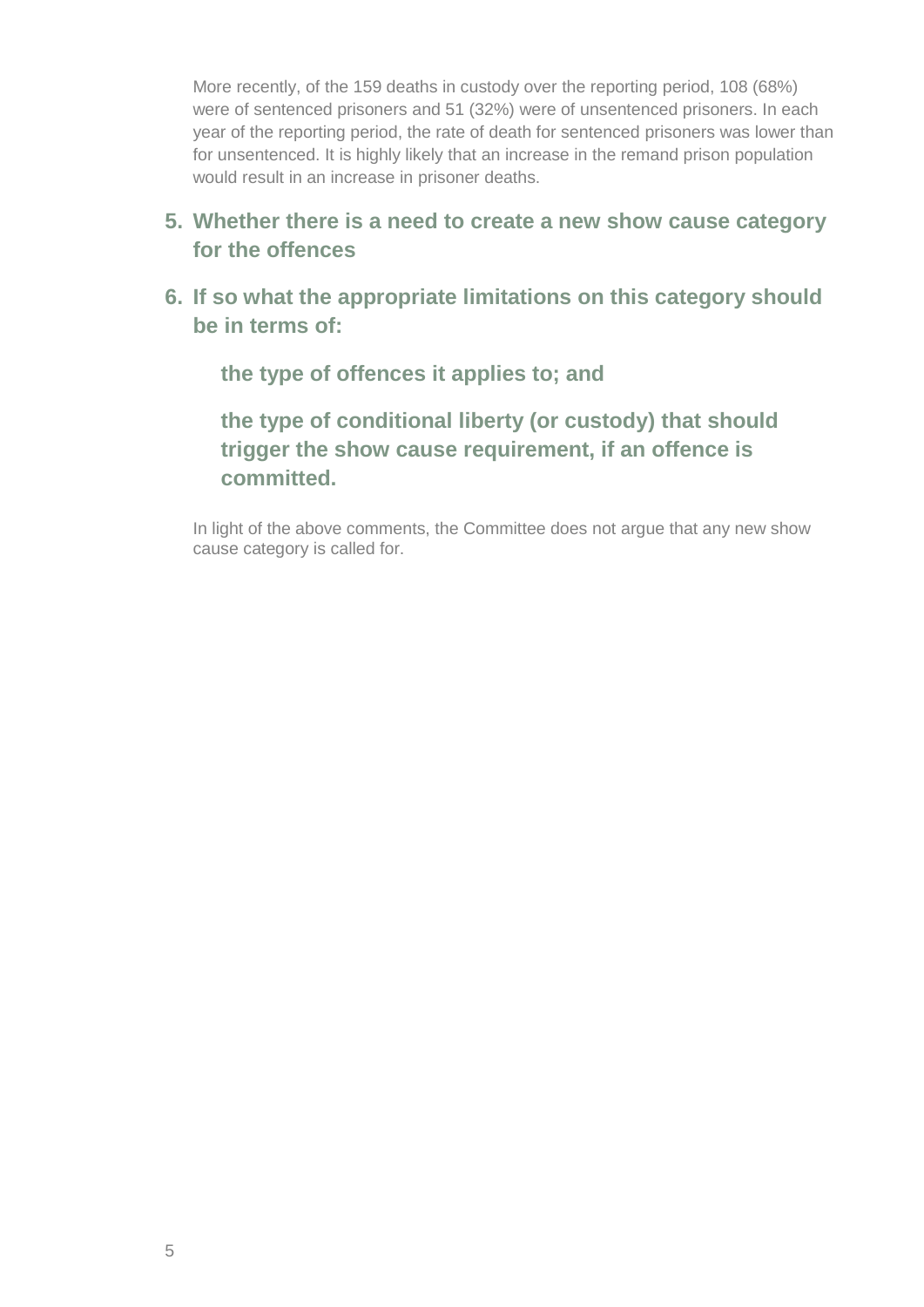More recently, of the 159 deaths in custody over the reporting period, 108 (68%) were of sentenced prisoners and 51 (32%) were of unsentenced prisoners. In each year of the reporting period, the rate of death for sentenced prisoners was lower than for unsentenced. It is highly likely that an increase in the remand prison population would result in an increase in prisoner deaths.

- **5. Whether there is a need to create a new show cause category for the offences**
- **6. If so what the appropriate limitations on this category should be in terms of:**

**the type of offences it applies to; and**

**the type of conditional liberty (or custody) that should trigger the show cause requirement, if an offence is committed.**

In light of the above comments, the Committee does not argue that any new show cause category is called for.